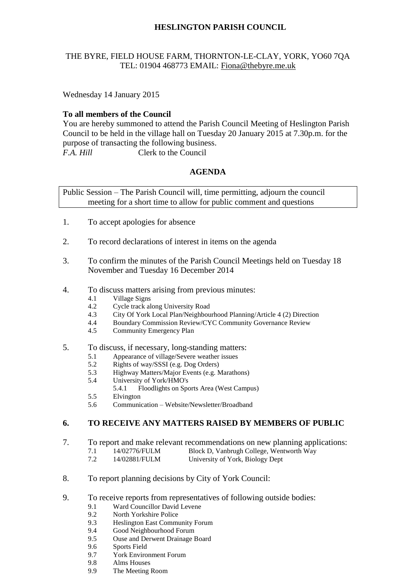# **HESLINGTON PARISH COUNCIL**

## THE BYRE, FIELD HOUSE FARM, THORNTON-LE-CLAY, YORK, YO60 7QA TEL: 01904 468773 EMAIL: [Fiona@thebyre.me.uk](mailto:Fiona@thebyre.me.uk)

Wednesday 14 January 2015

#### **To all members of the Council**

You are hereby summoned to attend the Parish Council Meeting of Heslington Parish Council to be held in the village hall on Tuesday 20 January 2015 at 7.30p.m. for the purpose of transacting the following business. *F.A. Hill* Clerk to the Council

## **AGENDA**

Public Session – The Parish Council will, time permitting, adjourn the council meeting for a short time to allow for public comment and questions

- 1. To accept apologies for absence
- 2. To record declarations of interest in items on the agenda
- 3. To confirm the minutes of the Parish Council Meetings held on Tuesday 18 November and Tuesday 16 December 2014
- 4. To discuss matters arising from previous minutes:
	- 4.1 Village Signs
	- 4.2 Cycle track along University Road
	- 4.3 City Of York Local Plan/Neighbourhood Planning/Article 4 (2) Direction
	- 4.4 Boundary Commission Review/CYC Community Governance Review
	- 4.5 Community Emergency Plan
- 5. To discuss, if necessary, long-standing matters:
	- 5.1 Appearance of village/Severe weather issues<br>5.2 Rights of way/SSSI (e.g. Dog Orders)
	- 5.2 Rights of way/SSSI (e.g. Dog Orders)
	- 5.3 Highway Matters/Major Events (e.g. Marathons)
	- 5.4 University of York/HMO's
		- 5.4.1 Floodlights on Sports Area (West Campus)
	- 5.5 Elvington
	- 5.6 Communication Website/Newsletter/Broadband

#### **6. TO RECEIVE ANY MATTERS RAISED BY MEMBERS OF PUBLIC**

- 7. To report and make relevant recommendations on new planning applications:
	- 7.1 14/02776/FULM Block D, Vanbrugh College, Wentworth Way
	- 7.2 14/02881/FULM University of York, Biology Dept
- 8. To report planning decisions by City of York Council:
- 9. To receive reports from representatives of following outside bodies:
	- 9.1 Ward Councillor David Levene
	- 9.2 North Yorkshire Police
	- 9.3 Heslington East Community Forum
	- 9.4 Good Neighbourhood Forum
	- 9.5 Ouse and Derwent Drainage Board
	- 9.6 Sports Field
	- 9.7 York Environment Forum
	- 9.8 Alms Houses
	- 9.9 The Meeting Room